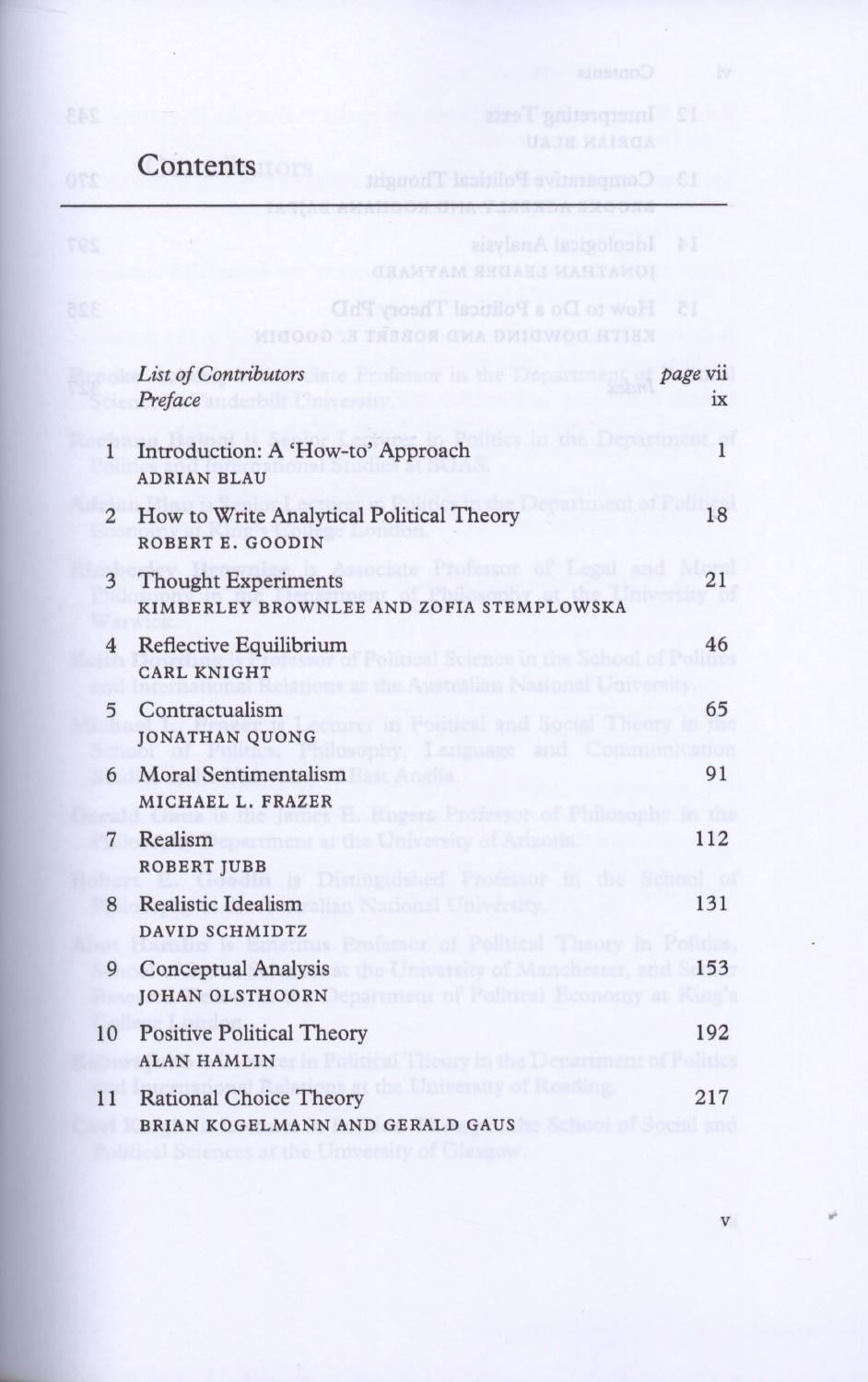## **Contents**

|                | Ideological Analysis                                                                                                                               | M              |
|----------------|----------------------------------------------------------------------------------------------------------------------------------------------------|----------------|
|                | How to Do a Political Theory PhD<br>KEITH DOWNING AND ROBERT E. GOODHIN                                                                            | 8I             |
|                | List of Contributors <b>Executive Contributors</b><br>Preface                                                                                      | page vii<br>ix |
| $\mathbf{1}$   | Introduction: A 'How-to' Approach<br><b>ADRIAN BLAU</b>                                                                                            | $\overline{1}$ |
| $\overline{2}$ | How to Write Analytical Political Theory<br>ROBERT E. GOODIN                                                                                       | 18             |
| $\overline{3}$ | egal and<br><b>Thought Experiments</b><br>KIMBERLEY BROWNLEE AND ZOFIA STEMPLOWSKA                                                                 | 21             |
| $\overline{4}$ | Reflective Equilibrium<br>al Science in the School of<br><b>CARL KNIGHT</b>                                                                        | 46             |
| 5              | Contractualism<br>r in Political and Social Theory<br>JONATHAN QUONG<br>by, Language and                                                           | 65             |
| 6              | Moral Sentimentalism<br>lest Anglia.<br>MICHAEL L. FRAZER<br>Rogers Professor of Philosophy                                                        | 91             |
| $\overline{7}$ | Realism<br>at the University of Arizona.<br><b>ROBERT JUBB</b><br>Distinguished Professor in<br>the                                                | 112            |
| 8              | Realistic Idealism<br>alian National University.<br>DAVID SCHMIDTZ<br>Professor of Political Theory in Politics                                    | 131            |
| 9              | he University of Manchester.<br><b>Conceptual Analysis</b><br>and<br>JOHAN OLSTHOORN COMMENCE OF POSTAGE IN A REAL PROPERTY OF REAL                | 153            |
| 10             | <b>Positive Political Theory</b><br>ALAN HAMLING THE STATE OF THE STATE OF THE STATE OF THE STATE OF THE STATE OF THE STATE OF THE STATE OF THE ST | 192            |
| 11             | e University of Reading<br><b>Rational Choice Theory</b><br>BRIAN KOGELMANN AND GERALD GAUS                                                        | 217            |

V